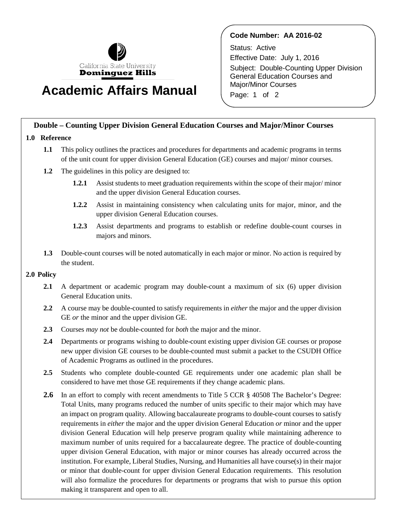

# **Academic Affairs Manual**

### **Code Number: AA 2016-02**

Status: Active Effective Date: July 1, 2016 Subject: Double-Counting Upper Division General Education Courses and Major/Minor Courses Page: 1 of 2

## **Double – Counting Upper Division General Education Courses and Major/Minor Courses**

#### **1.0 Reference**

- **1.1** This policy outlines the practices and procedures for departments and academic programs in terms of the unit count for upper division General Education (GE) courses and major/ minor courses.
- **1.2** The guidelines in this policy are designed to:
	- **1.2.1** Assist students to meet graduation requirements within the scope of their major/ minor and the upper division General Education courses.
	- **1.2.2** Assist in maintaining consistency when calculating units for major, minor, and the upper division General Education courses.
	- **1.2.3** Assist departments and programs to establish or redefine double-count courses in majors and minors.
- **1.3** Double-count courses will be noted automatically in each major or minor. No action is required by the student.

#### **2.0 Policy**

- **2.1** A department or academic program may double-count a maximum of six (6) upper division General Education units.
- **2.2** A course may be double-counted to satisfy requirements in *either* the major and the upper division GE *or* the minor and the upper division GE.
- **2.3** Courses *may not* be double-counted for *both* the major and the minor.
- **2.4** Departments or programs wishing to double-count existing upper division GE courses or propose new upper division GE courses to be double-counted must submit a packet to the CSUDH Office of Academic Programs as outlined in the procedures.
- **2.5** Students who complete double-counted GE requirements under one academic plan shall be considered to have met those GE requirements if they change academic plans.
- **2.6** In an effort to comply with recent amendments to Title 5 CCR § 40508 The Bachelor's Degree: Total Units, many programs reduced the number of units specific to their major which may have an impact on program quality*.* Allowing baccalaureate programs to double-count courses to satisfy requirements in *either* the major and the upper division General Education *or* minor and the upper division General Education will help preserve program quality while maintaining adherence to maximum number of units required for a baccalaureate degree. The practice of double-counting upper division General Education, with major or minor courses has already occurred across the institution. For example, Liberal Studies, Nursing, and Humanities all have course(s) in their major or minor that double-count for upper division General Education requirements. This resolution will also formalize the procedures for departments or programs that wish to pursue this option making it transparent and open to all.